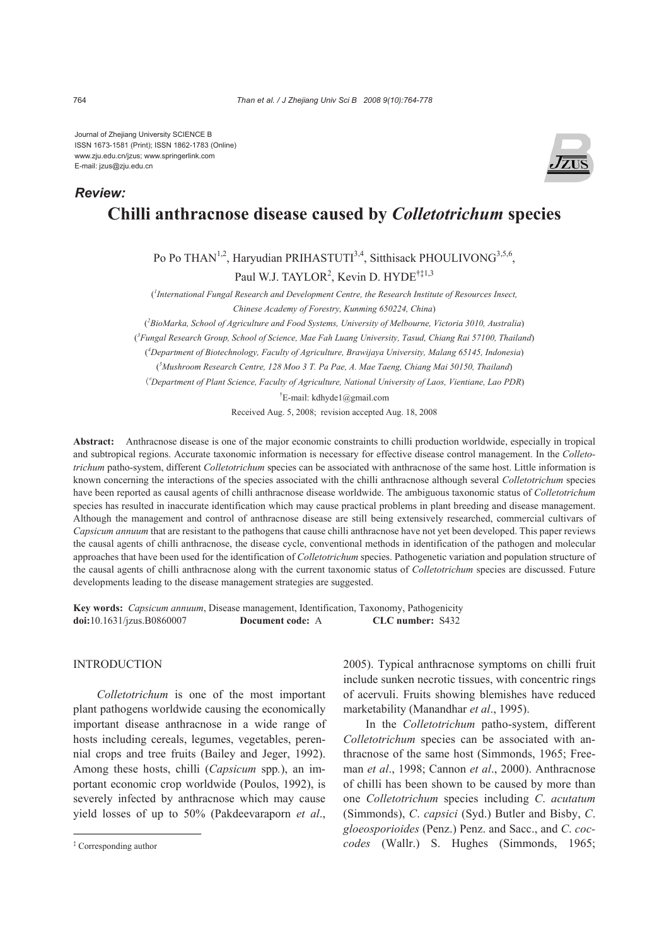Journal of Zhejiang University SCIENCE B ISSN 1673-1581 (Print); ISSN 1862-1783 (Online) www.zju.edu.cn/jzus; www.springerlink.com E-mail: jzus@zju.edu.cn



# **Chilli anthracnose disease caused by** *Colletotrichum* **species**

Po Po THAN<sup>1,2</sup>, Haryudian PRIHASTUTI<sup>3,4</sup>, Sitthisack PHOULIVONG<sup>3,5,6</sup>, Paul W.J. TAYLOR<sup>2</sup>, Kevin D. HYDE<sup>†‡1,3</sup>

( *1 International Fungal Research and Development Centre, the Research Institute of Resources Insect, Chinese Academy of Forestry, Kunming 650224, China*)

( *2 BioMarka, School of Agriculture and Food Systems, University of Melbourne, Victoria 3010, Australia*)

( *3 Fungal Research Group, School of Science, Mae Fah Luang University, Tasud, Chiang Rai 57100, Thailand*)

( *4 Department of Biotechnology, Faculty of Agriculture, Brawijaya University, Malang 65145, Indonesia*) ( *5 Mushroom Research Centre, 128 Moo 3 T. Pa Pae, A. Mae Taeng, Chiang Mai 50150, Thailand*)

(6 *Department of Plant Science, Faculty of Agriculture, National University of Laos, Vientiane, Lao PDR*)

† E-mail: kdhyde1@gmail.com

Received Aug. 5, 2008; revision accepted Aug. 18, 2008

**Abstract:** Anthracnose disease is one of the major economic constraints to chilli production worldwide, especially in tropical and subtropical regions. Accurate taxonomic information is necessary for effective disease control management. In the *Colletotrichum* patho-system, different *Colletotrichum* species can be associated with anthracnose of the same host. Little information is known concerning the interactions of the species associated with the chilli anthracnose although several *Colletotrichum* species have been reported as causal agents of chilli anthracnose disease worldwide. The ambiguous taxonomic status of *Colletotrichum* species has resulted in inaccurate identification which may cause practical problems in plant breeding and disease management. Although the management and control of anthracnose disease are still being extensively researched, commercial cultivars of *Capsicum annuum* that are resistant to the pathogens that cause chilli anthracnose have not yet been developed. This paper reviews the causal agents of chilli anthracnose, the disease cycle, conventional methods in identification of the pathogen and molecular approaches that have been used for the identification of *Colletotrichum* species. Pathogenetic variation and population structure of the causal agents of chilli anthracnose along with the current taxonomic status of *Colletotrichum* species are discussed. Future developments leading to the disease management strategies are suggested.

**Key words:** *Capsicum annuum*, Disease management, Identification, Taxonomy, Pathogenicity **doi:**10.1631/jzus.B0860007 **Document code:** A **CLC number:** S432

#### INTRODUCTION

*Colletotrichum* is one of the most important plant pathogens worldwide causing the economically important disease anthracnose in a wide range of hosts including cereals, legumes, vegetables, perennial crops and tree fruits (Bailey and Jeger, 1992). Among these hosts, chilli (*Capsicum* spp*.*), an important economic crop worldwide (Poulos, 1992), is severely infected by anthracnose which may cause yield losses of up to 50% (Pakdeevaraporn *et al*.,

2005). Typical anthracnose symptoms on chilli fruit include sunken necrotic tissues, with concentric rings of acervuli. Fruits showing blemishes have reduced marketability (Manandhar *et al*., 1995).

In the *Colletotrichum* patho-system, different *Colletotrichum* species can be associated with anthracnose of the same host (Simmonds, 1965; Freeman *et al*., 1998; Cannon *et al*., 2000). Anthracnose of chilli has been shown to be caused by more than one *Colletotrichum* species including *C*. *acutatum* (Simmonds), *C*. *capsici* (Syd.) Butler and Bisby, *C*. *gloeosporioides* (Penz.) Penz. and Sacc., and *C*. *coccodes* (Wallr.) S. Hughes (Simmonds, 1965;

*Review:*

<sup>‡</sup> Corresponding author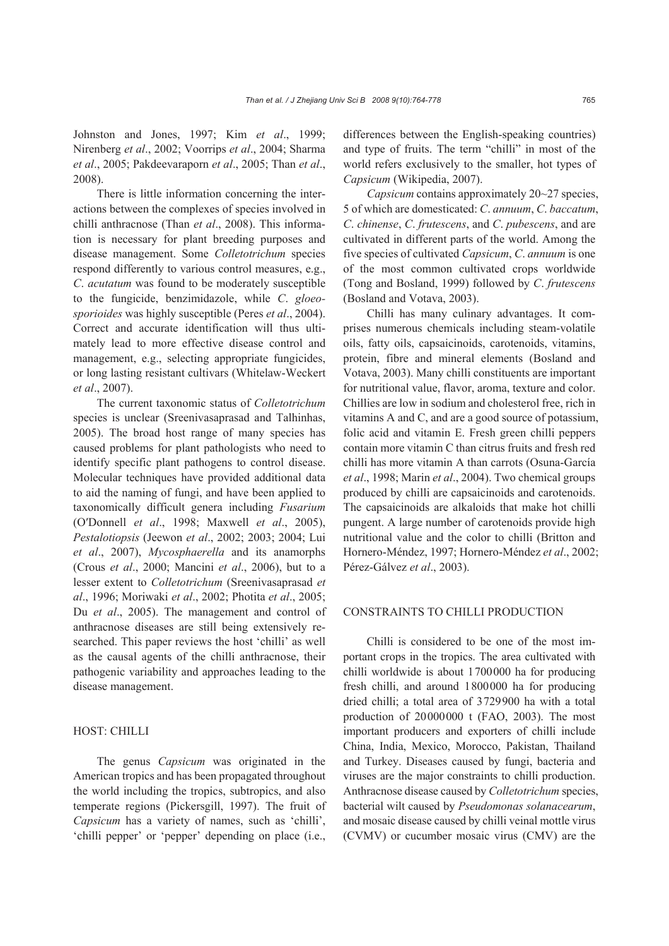Johnston and Jones, 1997; Kim *et al*., 1999; Nirenberg *et al*., 2002; Voorrips *et al*., 2004; Sharma *et al*., 2005; Pakdeevaraporn *et al*., 2005; Than *et al*., 2008).

There is little information concerning the interactions between the complexes of species involved in chilli anthracnose (Than *et al*., 2008). This information is necessary for plant breeding purposes and disease management. Some *Colletotrichum* species respond differently to various control measures, e.g., *C*. *acutatum* was found to be moderately susceptible to the fungicide, benzimidazole, while *C*. *gloeosporioides* was highly susceptible (Peres *et al*., 2004). Correct and accurate identification will thus ultimately lead to more effective disease control and management, e.g., selecting appropriate fungicides, or long lasting resistant cultivars (Whitelaw-Weckert *et al*., 2007).

The current taxonomic status of *Colletotrichum*  species is unclear (Sreenivasaprasad and Talhinhas, 2005). The broad host range of many species has caused problems for plant pathologists who need to identify specific plant pathogens to control disease. Molecular techniques have provided additional data to aid the naming of fungi, and have been applied to taxonomically difficult genera including *Fusarium* (O′Donnell *et al*., 1998; Maxwell *et al*., 2005), *Pestalotiopsis* (Jeewon *et al*., 2002; 2003; 2004; Lui *et al*., 2007), *Mycosphaerella* and its anamorphs (Crous *et al*., 2000; Mancini *et al*., 2006), but to a lesser extent to *Colletotrichum* (Sreenivasaprasad *et al*., 1996; Moriwaki *et al*., 2002; Photita *et al*., 2005; Du *et al*., 2005). The management and control of anthracnose diseases are still being extensively researched. This paper reviews the host 'chilli' as well as the causal agents of the chilli anthracnose, their pathogenic variability and approaches leading to the disease management.

### HOST: CHILLI

The genus *Capsicum* was originated in the American tropics and has been propagated throughout the world including the tropics, subtropics, and also temperate regions (Pickersgill, 1997). The fruit of *Capsicum* has a variety of names, such as 'chilli', 'chilli pepper' or 'pepper' depending on place (i.e., differences between the English-speaking countries) and type of fruits. The term "chilli" in most of the world refers exclusively to the smaller, hot types of *Capsicum* (Wikipedia, 2007).

*Capsicum* contains approximately 20~27 species, 5 of which are domesticated: *C*. *annuum*, *C*. *baccatum*, *C*. *chinense*, *C*. *frutescens*, and *C*. *pubescens*, and are cultivated in different parts of the world. Among the five species of cultivated *Capsicum*, *C*. *annuum* is one of the most common cultivated crops worldwide (Tong and Bosland, 1999) followed by *C*. *frutescens* (Bosland and Votava, 2003).

Chilli has many culinary advantages. It comprises numerous chemicals including steam-volatile oils, fatty oils, capsaicinoids, carotenoids, vitamins, protein, fibre and mineral elements (Bosland and Votava, 2003). Many chilli constituents are important for nutritional value, flavor, aroma, texture and color. Chillies are low in sodium and cholesterol free, rich in vitamins A and C, and are a good source of potassium, folic acid and vitamin E. Fresh green chilli peppers contain more vitamin C than citrus fruits and fresh red chilli has more vitamin A than carrots (Osuna-García *et al*., 1998; Marin *et al*., 2004). Two chemical groups produced by chilli are capsaicinoids and carotenoids. The capsaicinoids are alkaloids that make hot chilli pungent. A large number of carotenoids provide high nutritional value and the color to chilli (Britton and Hornero-Méndez, 1997; Hornero-Méndez *et al*., 2002; Pérez-Gálvez *et al*., 2003).

### CONSTRAINTS TO CHILLI PRODUCTION

Chilli is considered to be one of the most important crops in the tropics. The area cultivated with chilli worldwide is about 1700000 ha for producing fresh chilli, and around 1800000 ha for producing dried chilli; a total area of 3729900 ha with a total production of 20000000 t (FAO, 2003). The most important producers and exporters of chilli include China, India, Mexico, Morocco, Pakistan, Thailand and Turkey. Diseases caused by fungi, bacteria and viruses are the major constraints to chilli production. Anthracnose disease caused by *Colletotrichum* species, bacterial wilt caused by *Pseudomonas solanacearum*, and mosaic disease caused by chilli veinal mottle virus (CVMV) or cucumber mosaic virus (CMV) are the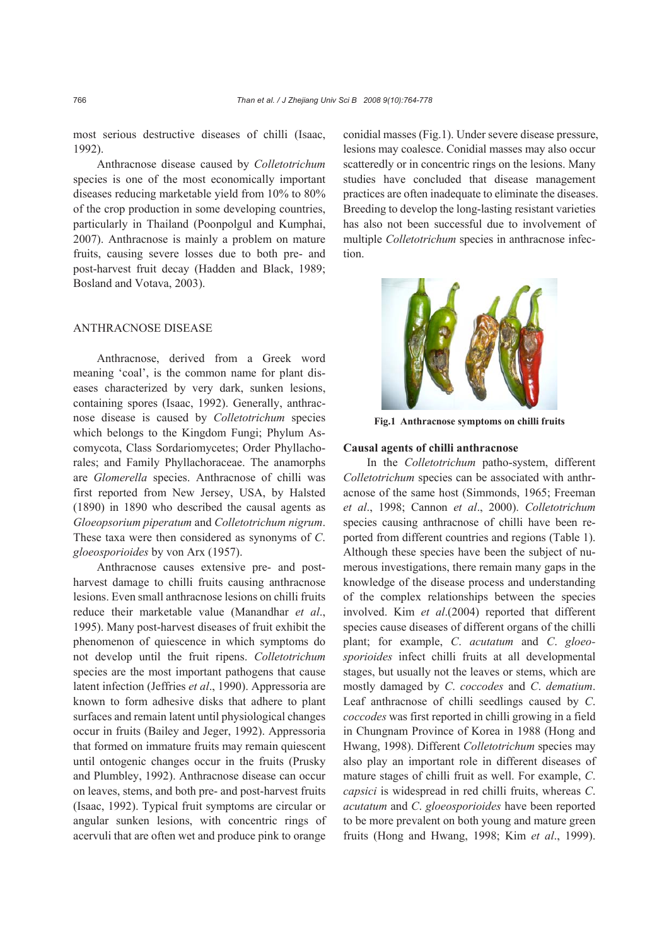most serious destructive diseases of chilli (Isaac, 1992).

Anthracnose disease caused by *Colletotrichum* species is one of the most economically important diseases reducing marketable yield from 10% to 80% of the crop production in some developing countries, particularly in Thailand (Poonpolgul and Kumphai, 2007). Anthracnose is mainly a problem on mature fruits, causing severe losses due to both pre- and post-harvest fruit decay (Hadden and Black, 1989; Bosland and Votava, 2003).

## ANTHRACNOSE DISEASE

Anthracnose, derived from a Greek word meaning 'coal', is the common name for plant diseases characterized by very dark, sunken lesions, containing spores (Isaac, 1992). Generally, anthracnose disease is caused by *Colletotrichum* species which belongs to the Kingdom Fungi; Phylum Ascomycota, Class Sordariomycetes; Order Phyllachorales; and Family Phyllachoraceae. The anamorphs are *Glomerella* species. Anthracnose of chilli was first reported from New Jersey, USA, by Halsted (1890) in 1890 who described the causal agents as *Gloeopsorium piperatum* and *Colletotrichum nigrum*. These taxa were then considered as synonyms of *C*. *gloeosporioides* by von Arx (1957).

Anthracnose causes extensive pre- and postharvest damage to chilli fruits causing anthracnose lesions. Even small anthracnose lesions on chilli fruits reduce their marketable value (Manandhar *et al*., 1995). Many post-harvest diseases of fruit exhibit the phenomenon of quiescence in which symptoms do not develop until the fruit ripens. *Colletotrichum*  species are the most important pathogens that cause latent infection (Jeffries *et al*., 1990). Appressoria are known to form adhesive disks that adhere to plant surfaces and remain latent until physiological changes occur in fruits (Bailey and Jeger, 1992). Appressoria that formed on immature fruits may remain quiescent until ontogenic changes occur in the fruits (Prusky and Plumbley, 1992). Anthracnose disease can occur on leaves, stems, and both pre- and post-harvest fruits (Isaac, 1992). Typical fruit symptoms are circular or angular sunken lesions, with concentric rings of acervuli that are often wet and produce pink to orange conidial masses (Fig.1). Under severe disease pressure, lesions may coalesce. Conidial masses may also occur scatteredly or in concentric rings on the lesions. Many studies have concluded that disease management practices are often inadequate to eliminate the diseases. Breeding to develop the long-lasting resistant varieties has also not been successful due to involvement of multiple *Colletotrichum* species in anthracnose infection.



**Fig.1 Anthracnose symptoms on chilli fruits** 

### **Causal agents of chilli anthracnose**

In the *Colletotrichum* patho-system, different *Colletotrichum* species can be associated with anthracnose of the same host (Simmonds, 1965; Freeman *et al*., 1998; Cannon *et al*., 2000). *Colletotrichum* species causing anthracnose of chilli have been reported from different countries and regions (Table 1). Although these species have been the subject of numerous investigations, there remain many gaps in the knowledge of the disease process and understanding of the complex relationships between the species involved. Kim *et al*.(2004) reported that different species cause diseases of different organs of the chilli plant; for example, *C*. *acutatum* and *C*. *gloeosporioides* infect chilli fruits at all developmental stages, but usually not the leaves or stems, which are mostly damaged by *C*. *coccodes* and *C*. *dematium*. Leaf anthracnose of chilli seedlings caused by *C*. *coccodes* was first reported in chilli growing in a field in Chungnam Province of Korea in 1988 (Hong and Hwang, 1998). Different *Colletotrichum* species may also play an important role in different diseases of mature stages of chilli fruit as well. For example, *C*. *capsici* is widespread in red chilli fruits, whereas *C*. *acutatum* and *C*. *gloeosporioides* have been reported to be more prevalent on both young and mature green fruits (Hong and Hwang, 1998; Kim *et al*., 1999).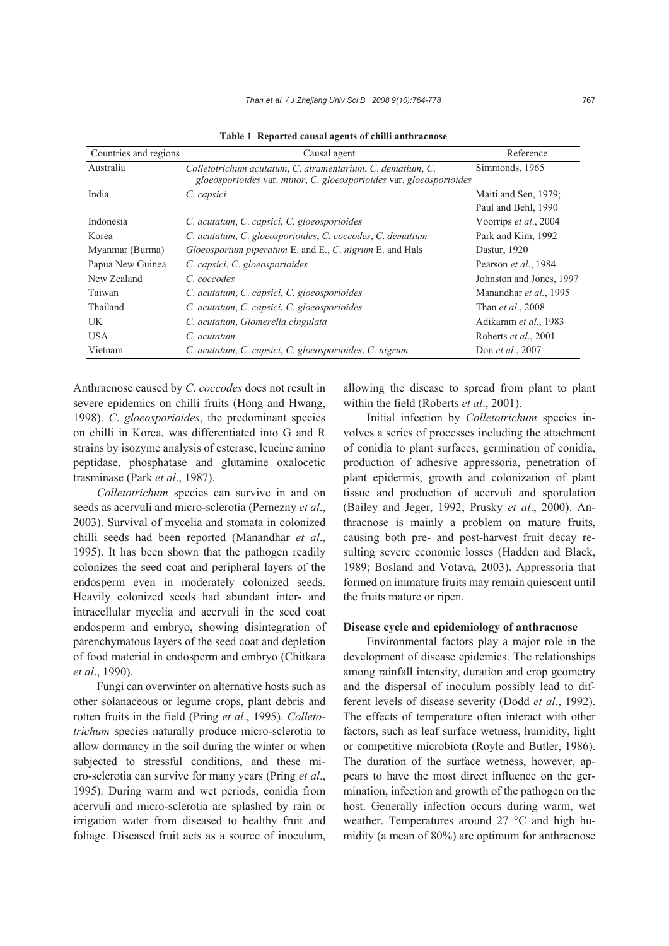| Countries and regions | Causal agent                                                                                                                      | Reference                                   |
|-----------------------|-----------------------------------------------------------------------------------------------------------------------------------|---------------------------------------------|
| Australia             | Colletotrichum acutatum, C. atramentarium, C. dematium, C.<br>gloeosporioides var. minor, C. gloeosporioides var. gloeosporioides | Simmonds, 1965                              |
| India                 | C. capsici                                                                                                                        | Maiti and Sen, 1979;<br>Paul and Behl, 1990 |
| Indonesia             | C. acutatum, C. capsici, C. gloeosporioides                                                                                       | Voorrips et al., 2004                       |
| Korea                 | C. acutatum, C. gloeosporioides, C. coccodes, C. dematium                                                                         | Park and Kim, 1992                          |
| Myanmar (Burma)       | <i>Gloeosporium piperatum E.</i> and E., C. nigrum E. and Hals                                                                    | Dastur, 1920                                |
| Papua New Guinea      | C. capsici, C. gloeosporioides                                                                                                    | Pearson et al., 1984                        |
| New Zealand           | C. coccodes                                                                                                                       | Johnston and Jones, 1997                    |
| Taiwan                | C. acutatum, C. capsici, C. gloeosporioides                                                                                       | Manandhar et al., 1995                      |
| Thailand              | C. acutatum, C. capsici, C. gloeosporioides                                                                                       | Than <i>et al.</i> , 2008                   |
| UK                    | C. acutatum, Glomerella cingulata                                                                                                 | Adikaram et al., 1983                       |
| <b>USA</b>            | C. acutatum                                                                                                                       | Roberts et al., 2001                        |
| Vietnam               | C. acutatum, C. capsici, C. gloeosporioides, C. nigrum                                                                            | Don et al., 2007                            |

**Table 1 Reported causal agents of chilli anthracnose** 

Anthracnose caused by *C*. *coccodes* does not result in severe epidemics on chilli fruits (Hong and Hwang, 1998). *C*. *gloeosporioides*, the predominant species on chilli in Korea, was differentiated into G and R strains by isozyme analysis of esterase, leucine amino peptidase, phosphatase and glutamine oxalocetic trasminase (Park *et al*., 1987).

*Colletotrichum* species can survive in and on seeds as acervuli and micro-sclerotia (Pernezny *et al*., 2003). Survival of mycelia and stomata in colonized chilli seeds had been reported (Manandhar *et al*., 1995). It has been shown that the pathogen readily colonizes the seed coat and peripheral layers of the endosperm even in moderately colonized seeds. Heavily colonized seeds had abundant inter- and intracellular mycelia and acervuli in the seed coat endosperm and embryo, showing disintegration of parenchymatous layers of the seed coat and depletion of food material in endosperm and embryo (Chitkara *et al*., 1990).

Fungi can overwinter on alternative hosts such as other solanaceous or legume crops, plant debris and rotten fruits in the field (Pring *et al*., 1995). *Colletotrichum* species naturally produce micro-sclerotia to allow dormancy in the soil during the winter or when subjected to stressful conditions, and these micro-sclerotia can survive for many years (Pring *et al*., 1995). During warm and wet periods, conidia from acervuli and micro-sclerotia are splashed by rain or irrigation water from diseased to healthy fruit and foliage. Diseased fruit acts as a source of inoculum, allowing the disease to spread from plant to plant within the field (Roberts *et al*., 2001).

Initial infection by *Colletotrichum* species involves a series of processes including the attachment of conidia to plant surfaces, germination of conidia, production of adhesive appressoria, penetration of plant epidermis, growth and colonization of plant tissue and production of acervuli and sporulation (Bailey and Jeger, 1992; Prusky *et al*., 2000). Anthracnose is mainly a problem on mature fruits, causing both pre- and post-harvest fruit decay resulting severe economic losses (Hadden and Black, 1989; Bosland and Votava, 2003). Appressoria that formed on immature fruits may remain quiescent until the fruits mature or ripen.

#### **Disease cycle and epidemiology of anthracnose**

Environmental factors play a major role in the development of disease epidemics. The relationships among rainfall intensity, duration and crop geometry and the dispersal of inoculum possibly lead to different levels of disease severity (Dodd *et al*., 1992). The effects of temperature often interact with other factors, such as leaf surface wetness, humidity, light or competitive microbiota (Royle and Butler, 1986). The duration of the surface wetness, however, appears to have the most direct influence on the germination, infection and growth of the pathogen on the host. Generally infection occurs during warm, wet weather. Temperatures around 27 °C and high humidity (a mean of 80%) are optimum for anthracnose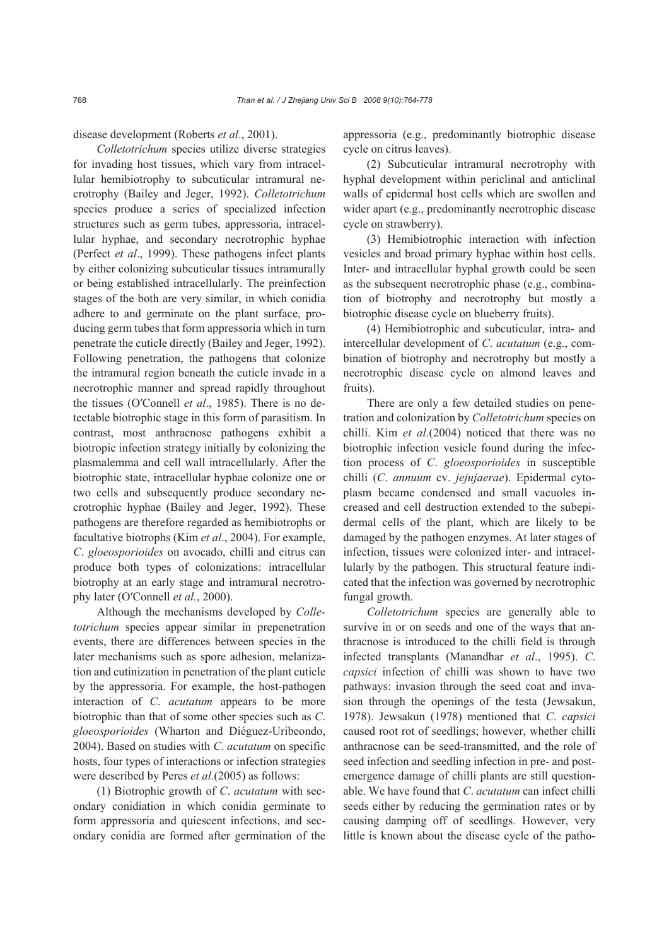disease development (Roberts *et al*., 2001).

*Colletotrichum* species utilize diverse strategies for invading host tissues, which vary from intracellular hemibiotrophy to subcuticular intramural necrotrophy (Bailey and Jeger, 1992). *Colletotrichum* species produce a series of specialized infection structures such as germ tubes, appressoria, intracellular hyphae, and secondary necrotrophic hyphae (Perfect *et al*., 1999). These pathogens infect plants by either colonizing subcuticular tissues intramurally or being established intracellularly. The preinfection stages of the both are very similar, in which conidia adhere to and germinate on the plant surface, producing germ tubes that form appressoria which in turn penetrate the cuticle directly (Bailey and Jeger, 1992). Following penetration, the pathogens that colonize the intramural region beneath the cuticle invade in a necrotrophic manner and spread rapidly throughout the tissues (O′Connell *et al*., 1985). There is no detectable biotrophic stage in this form of parasitism. In contrast, most anthracnose pathogens exhibit a biotropic infection strategy initially by colonizing the plasmalemma and cell wall intracellularly. After the biotrophic state, intracellular hyphae colonize one or two cells and subsequently produce secondary necrotrophic hyphae (Bailey and Jeger, 1992). These pathogens are therefore regarded as hemibiotrophs or facultative biotrophs (Kim *et al*., 2004). For example, *C*. *gloeosporioides* on avocado, chilli and citrus can produce both types of colonizations: intracellular biotrophy at an early stage and intramural necrotrophy later (O′Connell *et al.*, 2000).

Although the mechanisms developed by *Colletotrichum* species appear similar in prepenetration events, there are differences between species in the later mechanisms such as spore adhesion, melanization and cutinization in penetration of the plant cuticle by the appressoria. For example, the host-pathogen interaction of *C*. *acutatum* appears to be more biotrophic than that of some other species such as *C*. *gloeosporioides* (Wharton and Diéguez-Uribeondo, 2004). Based on studies with *C*. *acutatum* on specific hosts, four types of interactions or infection strategies were described by Peres *et al*.(2005) as follows:

(1) Biotrophic growth of *C*. *acutatum* with secondary conidiation in which conidia germinate to form appressoria and quiescent infections, and secondary conidia are formed after germination of the appressoria (e.g., predominantly biotrophic disease cycle on citrus leaves).

(2) Subcuticular intramural necrotrophy with hyphal development within periclinal and anticlinal walls of epidermal host cells which are swollen and wider apart (e.g., predominantly necrotrophic disease cycle on strawberry).

(3) Hemibiotrophic interaction with infection vesicles and broad primary hyphae within host cells. Inter- and intracellular hyphal growth could be seen as the subsequent necrotrophic phase (e.g., combination of biotrophy and necrotrophy but mostly a biotrophic disease cycle on blueberry fruits).

(4) Hemibiotrophic and subcuticular, intra- and intercellular development of *C*. *acutatum* (e.g., combination of biotrophy and necrotrophy but mostly a necrotrophic disease cycle on almond leaves and fruits).

There are only a few detailed studies on penetration and colonization by *Colletotrichum* species on chilli. Kim *et al*.(2004) noticed that there was no biotrophic infection vesicle found during the infection process of *C*. *gloeosporioides* in susceptible chilli (*C*. *annuum* cv. *jejujaerae*). Epidermal cytoplasm became condensed and small vacuoles increased and cell destruction extended to the subepidermal cells of the plant, which are likely to be damaged by the pathogen enzymes. At later stages of infection, tissues were colonized inter- and intracellularly by the pathogen. This structural feature indicated that the infection was governed by necrotrophic fungal growth.

*Colletotrichum* species are generally able to survive in or on seeds and one of the ways that anthracnose is introduced to the chilli field is through infected transplants (Manandhar *et al*., 1995). *C*. *capsici* infection of chilli was shown to have two pathways: invasion through the seed coat and invasion through the openings of the testa (Jewsakun, 1978). Jewsakun (1978) mentioned that *C*. *capsici* caused root rot of seedlings; however, whether chilli anthracnose can be seed-transmitted, and the role of seed infection and seedling infection in pre- and postemergence damage of chilli plants are still questionable. We have found that *C*. *acutatum* can infect chilli seeds either by reducing the germination rates or by causing damping off of seedlings. However, very little is known about the disease cycle of the patho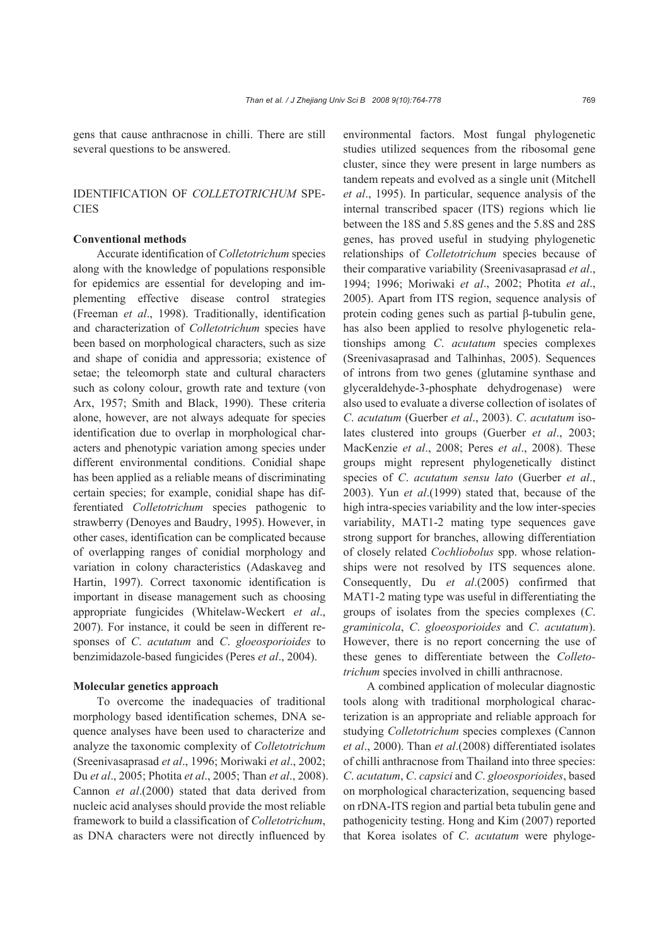gens that cause anthracnose in chilli. There are still several questions to be answered.

# IDENTIFICATION OF *COLLETOTRICHUM* SPE-**CIES**

### **Conventional methods**

Accurate identification of *Colletotrichum* species along with the knowledge of populations responsible for epidemics are essential for developing and implementing effective disease control strategies (Freeman *et al*., 1998). Traditionally, identification and characterization of *Colletotrichum* species have been based on morphological characters, such as size and shape of conidia and appressoria; existence of setae; the teleomorph state and cultural characters such as colony colour, growth rate and texture (von Arx, 1957; Smith and Black, 1990). These criteria alone, however, are not always adequate for species identification due to overlap in morphological characters and phenotypic variation among species under different environmental conditions. Conidial shape has been applied as a reliable means of discriminating certain species; for example, conidial shape has differentiated *Colletotrichum* species pathogenic to strawberry (Denoyes and Baudry, 1995). However, in other cases, identification can be complicated because of overlapping ranges of conidial morphology and variation in colony characteristics (Adaskaveg and Hartin, 1997). Correct taxonomic identification is important in disease management such as choosing appropriate fungicides (Whitelaw-Weckert *et al*., 2007). For instance, it could be seen in different responses of *C*. *acutatum* and *C*. *gloeosporioides* to benzimidazole-based fungicides (Peres *et al*., 2004).

### **Molecular genetics approach**

To overcome the inadequacies of traditional morphology based identification schemes, DNA sequence analyses have been used to characterize and analyze the taxonomic complexity of *Colletotrichum* (Sreenivasaprasad *et al*., 1996; Moriwaki *et al*., 2002; Du *et al*., 2005; Photita *et al*., 2005; Than *et al*., 2008). Cannon *et al*.(2000) stated that data derived from nucleic acid analyses should provide the most reliable framework to build a classification of *Colletotrichum*, as DNA characters were not directly influenced by

environmental factors. Most fungal phylogenetic studies utilized sequences from the ribosomal gene cluster, since they were present in large numbers as tandem repeats and evolved as a single unit (Mitchell *et al*., 1995). In particular, sequence analysis of the internal transcribed spacer (ITS) regions which lie between the 18S and 5.8S genes and the 5.8S and 28S genes, has proved useful in studying phylogenetic relationships of *Colletotrichum* species because of their comparative variability (Sreenivasaprasad *et al*., 1994; 1996; Moriwaki *et al*., 2002; Photita *et al*., 2005). Apart from ITS region, sequence analysis of protein coding genes such as partial β-tubulin gene, has also been applied to resolve phylogenetic relationships among *C*. *acutatum* species complexes (Sreenivasaprasad and Talhinhas, 2005). Sequences of introns from two genes (glutamine synthase and glyceraldehyde-3-phosphate dehydrogenase) were also used to evaluate a diverse collection of isolates of *C*. *acutatum* (Guerber *et al*., 2003). *C*. *acutatum* isolates clustered into groups (Guerber *et al*., 2003; MacKenzie *et al*., 2008; Peres *et al*., 2008). These groups might represent phylogenetically distinct species of *C*. *acutatum sensu lato* (Guerber *et al*., 2003). Yun *et al*.(1999) stated that, because of the high intra-species variability and the low inter-species variability, MAT1-2 mating type sequences gave strong support for branches, allowing differentiation of closely related *Cochliobolus* spp. whose relationships were not resolved by ITS sequences alone. Consequently, Du *et al*.(2005) confirmed that MAT1-2 mating type was useful in differentiating the groups of isolates from the species complexes (*C*. *graminicola*, *C*. *gloeosporioides* and *C*. *acutatum*). However, there is no report concerning the use of these genes to differentiate between the *Colletotrichum* species involved in chilli anthracnose.

A combined application of molecular diagnostic tools along with traditional morphological characterization is an appropriate and reliable approach for studying *Colletotrichum* species complexes (Cannon *et al*., 2000). Than *et al*.(2008) differentiated isolates of chilli anthracnose from Thailand into three species: *C*. *acutatum*, *C*. *capsici* and *C*. *gloeosporioides*, based on morphological characterization, sequencing based on rDNA-ITS region and partial beta tubulin gene and pathogenicity testing. Hong and Kim (2007) reported that Korea isolates of *C*. *acutatum* were phyloge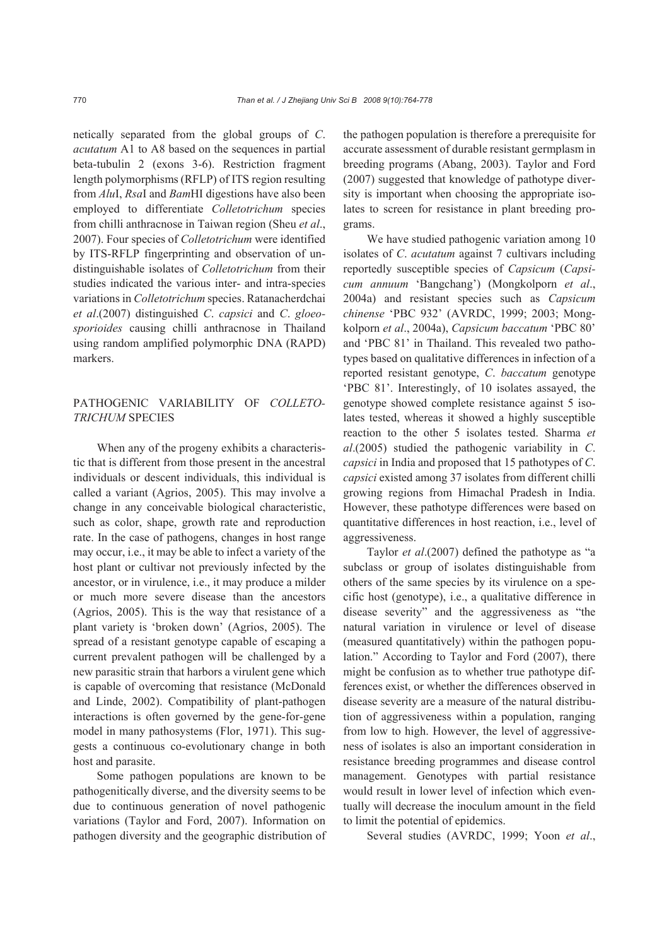netically separated from the global groups of *C*. *acutatum* A1 to A8 based on the sequences in partial beta-tubulin 2 (exons 3-6). Restriction fragment length polymorphisms (RFLP) of ITS region resulting from *Alu*I, *Rsa*I and *Bam*HI digestions have also been employed to differentiate *Colletotrichum* species from chilli anthracnose in Taiwan region (Sheu *et al*., 2007). Four species of *Colletotrichum* were identified by ITS-RFLP fingerprinting and observation of undistinguishable isolates of *Colletotrichum* from their studies indicated the various inter- and intra-species variations in *Colletotrichum* species. Ratanacherdchai *et al*.(2007) distinguished *C*. *capsici* and *C*. *gloeosporioides* causing chilli anthracnose in Thailand using random amplified polymorphic DNA (RAPD) markers.

# PATHOGENIC VARIABILITY OF *COLLETO-TRICHUM* SPECIES

When any of the progeny exhibits a characteristic that is different from those present in the ancestral individuals or descent individuals, this individual is called a variant (Agrios, 2005). This may involve a change in any conceivable biological characteristic, such as color, shape, growth rate and reproduction rate. In the case of pathogens, changes in host range may occur, i.e., it may be able to infect a variety of the host plant or cultivar not previously infected by the ancestor, or in virulence, i.e., it may produce a milder or much more severe disease than the ancestors (Agrios, 2005). This is the way that resistance of a plant variety is 'broken down' (Agrios, 2005). The spread of a resistant genotype capable of escaping a current prevalent pathogen will be challenged by a new parasitic strain that harbors a virulent gene which is capable of overcoming that resistance (McDonald and Linde, 2002). Compatibility of plant-pathogen interactions is often governed by the gene-for-gene model in many pathosystems (Flor, 1971). This suggests a continuous co-evolutionary change in both host and parasite.

Some pathogen populations are known to be pathogenitically diverse, and the diversity seems to be due to continuous generation of novel pathogenic variations (Taylor and Ford, 2007). Information on pathogen diversity and the geographic distribution of the pathogen population is therefore a prerequisite for accurate assessment of durable resistant germplasm in breeding programs (Abang, 2003). Taylor and Ford (2007) suggested that knowledge of pathotype diversity is important when choosing the appropriate isolates to screen for resistance in plant breeding programs.

We have studied pathogenic variation among 10 isolates of *C*. *acutatum* against 7 cultivars including reportedly susceptible species of *Capsicum* (*Capsicum annuum* 'Bangchang') (Mongkolporn *et al*., 2004a) and resistant species such as *Capsicum chinense* 'PBC 932' (AVRDC, 1999; 2003; Mongkolporn *et al*., 2004a), *Capsicum baccatum* 'PBC 80' and 'PBC 81' in Thailand. This revealed two pathotypes based on qualitative differences in infection of a reported resistant genotype, *C*. *baccatum* genotype 'PBC 81'. Interestingly, of 10 isolates assayed, the genotype showed complete resistance against 5 isolates tested, whereas it showed a highly susceptible reaction to the other 5 isolates tested. Sharma *et al*.(2005) studied the pathogenic variability in *C*. *capsici* in India and proposed that 15 pathotypes of *C*. *capsici* existed among 37 isolates from different chilli growing regions from Himachal Pradesh in India. However, these pathotype differences were based on quantitative differences in host reaction, i.e., level of aggressiveness.

Taylor *et al*.(2007) defined the pathotype as "a subclass or group of isolates distinguishable from others of the same species by its virulence on a specific host (genotype), i.e., a qualitative difference in disease severity" and the aggressiveness as "the natural variation in virulence or level of disease (measured quantitatively) within the pathogen population." According to Taylor and Ford (2007), there might be confusion as to whether true pathotype differences exist, or whether the differences observed in disease severity are a measure of the natural distribution of aggressiveness within a population, ranging from low to high. However, the level of aggressiveness of isolates is also an important consideration in resistance breeding programmes and disease control management. Genotypes with partial resistance would result in lower level of infection which eventually will decrease the inoculum amount in the field to limit the potential of epidemics.

Several studies (AVRDC, 1999; Yoon *et al*.,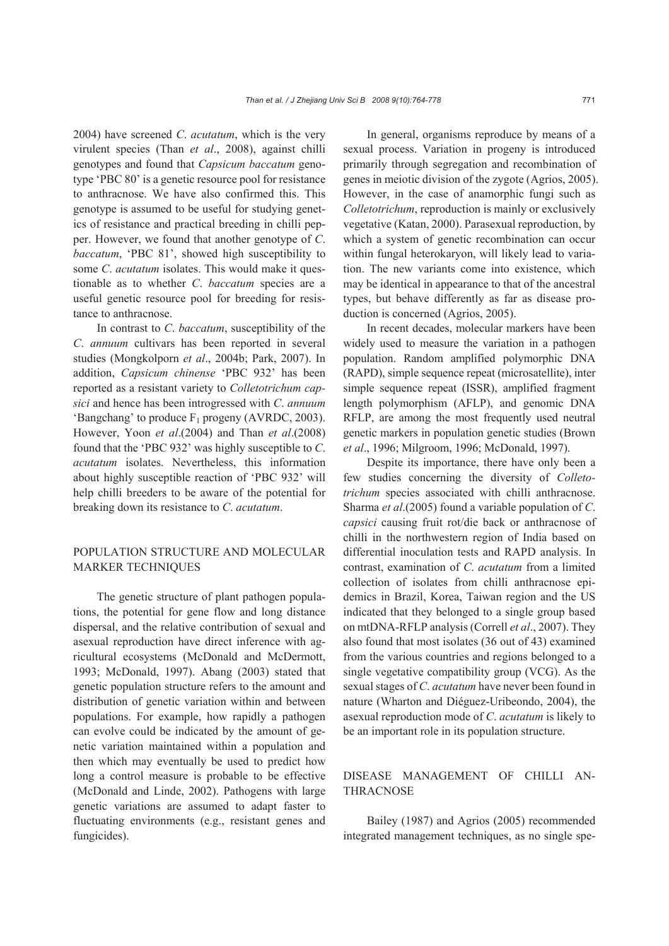2004) have screened *C*. *acutatum*, which is the very virulent species (Than *et al*., 2008), against chilli genotypes and found that *Capsicum baccatum* genotype 'PBC 80' is a genetic resource pool for resistance to anthracnose. We have also confirmed this. This genotype is assumed to be useful for studying genetics of resistance and practical breeding in chilli pepper. However, we found that another genotype of *C*. *baccatum*, 'PBC 81', showed high susceptibility to some *C*. *acutatum* isolates. This would make it questionable as to whether *C*. *baccatum* species are a useful genetic resource pool for breeding for resistance to anthracnose.

In contrast to *C*. *baccatum*, susceptibility of the *C*. *annuum* cultivars has been reported in several studies (Mongkolporn *et al*., 2004b; Park, 2007). In addition, *Capsicum chinense* 'PBC 932' has been reported as a resistant variety to *Colletotrichum capsici* and hence has been introgressed with *C*. *annuum* 'Bangchang' to produce  $F_1$  progeny (AVRDC, 2003). However, Yoon *et al*.(2004) and Than *et al*.(2008) found that the 'PBC 932' was highly susceptible to *C*. *acutatum* isolates. Nevertheless, this information about highly susceptible reaction of 'PBC 932' will help chilli breeders to be aware of the potential for breaking down its resistance to *C*. *acutatum*.

# POPULATION STRUCTURE AND MOLECULAR MARKER TECHNIQUES

The genetic structure of plant pathogen populations, the potential for gene flow and long distance dispersal, and the relative contribution of sexual and asexual reproduction have direct inference with agricultural ecosystems (McDonald and McDermott, 1993; McDonald, 1997). Abang (2003) stated that genetic population structure refers to the amount and distribution of genetic variation within and between populations. For example, how rapidly a pathogen can evolve could be indicated by the amount of genetic variation maintained within a population and then which may eventually be used to predict how long a control measure is probable to be effective (McDonald and Linde, 2002). Pathogens with large genetic variations are assumed to adapt faster to fluctuating environments (e.g., resistant genes and fungicides).

In general, organisms reproduce by means of a sexual process. Variation in progeny is introduced primarily through segregation and recombination of genes in meiotic division of the zygote (Agrios, 2005). However, in the case of anamorphic fungi such as *Colletotrichum*, reproduction is mainly or exclusively vegetative (Katan, 2000). Parasexual reproduction, by which a system of genetic recombination can occur within fungal heterokaryon, will likely lead to variation. The new variants come into existence, which may be identical in appearance to that of the ancestral types, but behave differently as far as disease production is concerned (Agrios, 2005).

In recent decades, molecular markers have been widely used to measure the variation in a pathogen population. Random amplified polymorphic DNA (RAPD), simple sequence repeat (microsatellite), inter simple sequence repeat (ISSR), amplified fragment length polymorphism (AFLP), and genomic DNA RFLP, are among the most frequently used neutral genetic markers in population genetic studies (Brown *et al*., 1996; Milgroom, 1996; McDonald, 1997).

Despite its importance, there have only been a few studies concerning the diversity of *Colletotrichum* species associated with chilli anthracnose. Sharma *et al*.(2005) found a variable population of *C*. *capsici* causing fruit rot/die back or anthracnose of chilli in the northwestern region of India based on differential inoculation tests and RAPD analysis. In contrast, examination of *C*. *acutatum* from a limited collection of isolates from chilli anthracnose epidemics in Brazil, Korea, Taiwan region and the US indicated that they belonged to a single group based on mtDNA-RFLP analysis (Correll *et al*., 2007). They also found that most isolates (36 out of 43) examined from the various countries and regions belonged to a single vegetative compatibility group (VCG). As the sexual stages of *C*. *acutatum* have never been found in nature (Wharton and Diéguez-Uribeondo, 2004), the asexual reproduction mode of *C*. *acutatum* is likely to be an important role in its population structure.

# DISEASE MANAGEMENT OF CHILLI AN-THRACNOSE

Bailey (1987) and Agrios (2005) recommended integrated management techniques, as no single spe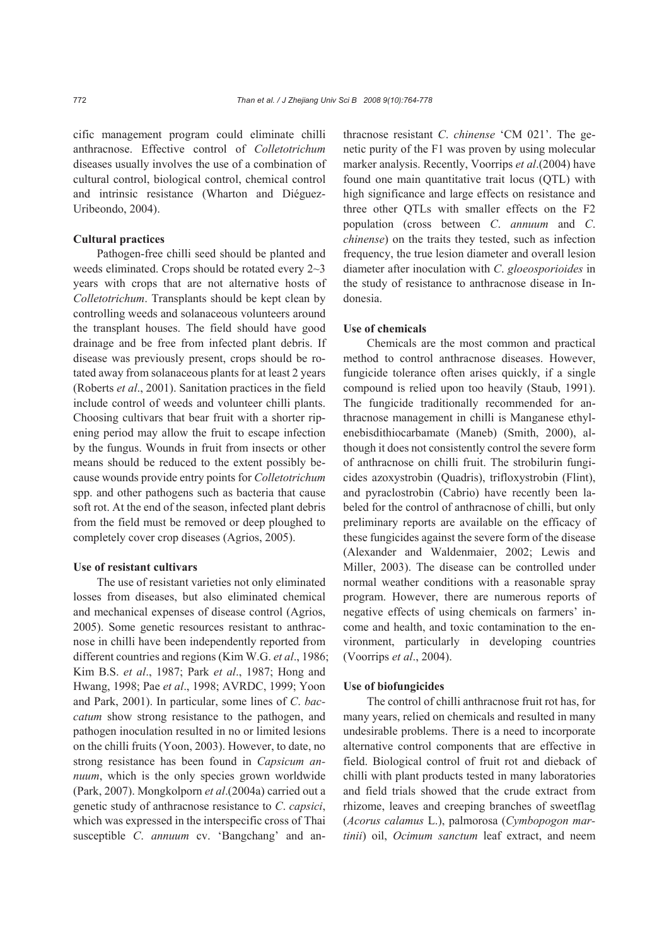cific management program could eliminate chilli anthracnose. Effective control of *Colletotrichum* diseases usually involves the use of a combination of cultural control, biological control, chemical control and intrinsic resistance (Wharton and Diéguez-Uribeondo, 2004).

### **Cultural practices**

Pathogen-free chilli seed should be planted and weeds eliminated. Crops should be rotated every 2~3 years with crops that are not alternative hosts of *Colletotrichum*. Transplants should be kept clean by controlling weeds and solanaceous volunteers around the transplant houses. The field should have good drainage and be free from infected plant debris. If disease was previously present, crops should be rotated away from solanaceous plants for at least 2 years (Roberts *et al*., 2001). Sanitation practices in the field include control of weeds and volunteer chilli plants. Choosing cultivars that bear fruit with a shorter ripening period may allow the fruit to escape infection by the fungus. Wounds in fruit from insects or other means should be reduced to the extent possibly because wounds provide entry points for *Colletotrichum* spp. and other pathogens such as bacteria that cause soft rot. At the end of the season, infected plant debris from the field must be removed or deep ploughed to completely cover crop diseases (Agrios, 2005).

### **Use of resistant cultivars**

The use of resistant varieties not only eliminated losses from diseases, but also eliminated chemical and mechanical expenses of disease control (Agrios, 2005). Some genetic resources resistant to anthracnose in chilli have been independently reported from different countries and regions (Kim W.G. *et al*., 1986; Kim B.S. *et al*., 1987; Park *et al*., 1987; Hong and Hwang, 1998; Pae *et al*., 1998; AVRDC, 1999; Yoon and Park, 2001). In particular, some lines of *C*. *baccatum* show strong resistance to the pathogen, and pathogen inoculation resulted in no or limited lesions on the chilli fruits (Yoon, 2003). However, to date, no strong resistance has been found in *Capsicum annuum*, which is the only species grown worldwide (Park, 2007). Mongkolporn *et al*.(2004a) carried out a genetic study of anthracnose resistance to *C*. *capsici*, which was expressed in the interspecific cross of Thai susceptible *C*. *annuum* cv. 'Bangchang' and anthracnose resistant *C*. *chinense* 'CM 021'. The genetic purity of the F1 was proven by using molecular marker analysis. Recently, Voorrips *et al*.(2004) have found one main quantitative trait locus (QTL) with high significance and large effects on resistance and three other QTLs with smaller effects on the F2 population (cross between *C*. *annuum* and *C*. *chinense*) on the traits they tested, such as infection frequency, the true lesion diameter and overall lesion diameter after inoculation with *C*. *gloeosporioides* in the study of resistance to anthracnose disease in Indonesia.

### **Use of chemicals**

Chemicals are the most common and practical method to control anthracnose diseases. However, fungicide tolerance often arises quickly, if a single compound is relied upon too heavily (Staub, 1991). The fungicide traditionally recommended for anthracnose management in chilli is Manganese ethylenebisdithiocarbamate (Maneb) (Smith, 2000), although it does not consistently control the severe form of anthracnose on chilli fruit. The strobilurin fungicides azoxystrobin (Quadris), trifloxystrobin (Flint), and pyraclostrobin (Cabrio) have recently been labeled for the control of anthracnose of chilli, but only preliminary reports are available on the efficacy of these fungicides against the severe form of the disease (Alexander and Waldenmaier, 2002; Lewis and Miller, 2003). The disease can be controlled under normal weather conditions with a reasonable spray program. However, there are numerous reports of negative effects of using chemicals on farmers' income and health, and toxic contamination to the environment, particularly in developing countries (Voorrips *et al*., 2004).

#### **Use of biofungicides**

The control of chilli anthracnose fruit rot has, for many years, relied on chemicals and resulted in many undesirable problems. There is a need to incorporate alternative control components that are effective in field. Biological control of fruit rot and dieback of chilli with plant products tested in many laboratories and field trials showed that the crude extract from rhizome, leaves and creeping branches of sweetflag (*Acorus calamus* L.), palmorosa (*Cymbopogon martinii*) oil, *Ocimum sanctum* leaf extract, and neem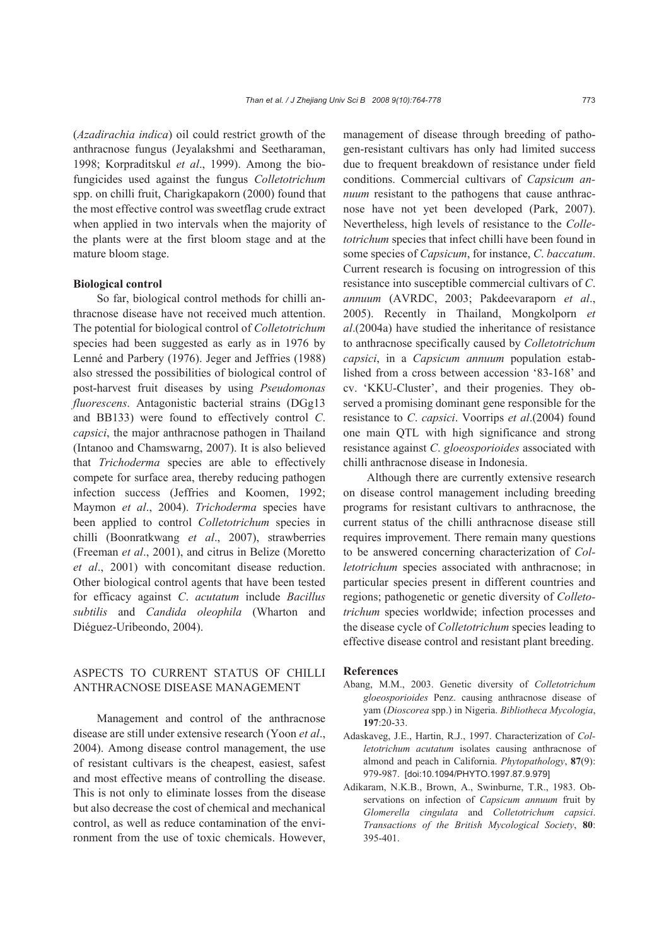(*Azadirachia indica*) oil could restrict growth of the anthracnose fungus (Jeyalakshmi and Seetharaman, 1998; Korpraditskul *et al*., 1999). Among the biofungicides used against the fungus *Colletotrichum*  spp. on chilli fruit, Charigkapakorn (2000) found that the most effective control was sweetflag crude extract when applied in two intervals when the majority of the plants were at the first bloom stage and at the mature bloom stage.

### **Biological control**

So far, biological control methods for chilli anthracnose disease have not received much attention. The potential for biological control of *Colletotrichum* species had been suggested as early as in 1976 by Lenné and Parbery (1976). Jeger and Jeffries (1988) also stressed the possibilities of biological control of post-harvest fruit diseases by using *Pseudomonas fluorescens*. Antagonistic bacterial strains (DGg13 and BB133) were found to effectively control *C*. *capsici*, the major anthracnose pathogen in Thailand (Intanoo and Chamswarng, 2007). It is also believed that *Trichoderma* species are able to effectively compete for surface area, thereby reducing pathogen infection success (Jeffries and Koomen, 1992; Maymon *et al*., 2004). *Trichoderma* species have been applied to control *Colletotrichum* species in chilli (Boonratkwang *et al*., 2007), strawberries (Freeman *et al*., 2001), and citrus in Belize (Moretto *et al*., 2001) with concomitant disease reduction. Other biological control agents that have been tested for efficacy against *C*. *acutatum* include *Bacillus subtilis* and *Candida oleophila* (Wharton and Diéguez-Uribeondo, 2004).

# ASPECTS TO CURRENT STATUS OF CHILLI ANTHRACNOSE DISEASE MANAGEMENT

Management and control of the anthracnose disease are still under extensive research (Yoon *et al*., 2004). Among disease control management, the use of resistant cultivars is the cheapest, easiest, safest and most effective means of controlling the disease. This is not only to eliminate losses from the disease but also decrease the cost of chemical and mechanical control, as well as reduce contamination of the environment from the use of toxic chemicals. However, management of disease through breeding of pathogen-resistant cultivars has only had limited success due to frequent breakdown of resistance under field conditions. Commercial cultivars of *Capsicum annuum* resistant to the pathogens that cause anthracnose have not yet been developed (Park, 2007). Nevertheless, high levels of resistance to the *Colletotrichum* species that infect chilli have been found in some species of *Capsicum*, for instance, *C*. *baccatum*. Current research is focusing on introgression of this resistance into susceptible commercial cultivars of *C*. *annuum* (AVRDC, 2003; Pakdeevaraporn *et al*., 2005). Recently in Thailand, Mongkolporn *et al*.(2004a) have studied the inheritance of resistance to anthracnose specifically caused by *Colletotrichum capsici*, in a *Capsicum annuum* population established from a cross between accession '83-168' and cv. 'KKU-Cluster', and their progenies. They observed a promising dominant gene responsible for the resistance to *C*. *capsici*. Voorrips *et al*.(2004) found one main QTL with high significance and strong resistance against *C*. *gloeosporioides* associated with chilli anthracnose disease in Indonesia.

Although there are currently extensive research on disease control management including breeding programs for resistant cultivars to anthracnose, the current status of the chilli anthracnose disease still requires improvement. There remain many questions to be answered concerning characterization of *Colletotrichum* species associated with anthracnose; in particular species present in different countries and regions; pathogenetic or genetic diversity of *Colletotrichum* species worldwide; infection processes and the disease cycle of *Colletotrichum* species leading to effective disease control and resistant plant breeding.

### **References**

- Abang, M.M., 2003. Genetic diversity of *Colletotrichum gloeosporioides* Penz. causing anthracnose disease of yam (*Dioscorea* spp.) in Nigeria. *Bibliotheca Mycologia*, **197**:20-33.
- Adaskaveg, J.E., Hartin, R.J., 1997. Characterization of *Colletotrichum acutatum* isolates causing anthracnose of almond and peach in California. *Phytopathology*, **87**(9): 979-987. [doi:10.1094/PHYTO.1997.87.9.979]
- Adikaram, N.K.B., Brown, A., Swinburne, T.R., 1983. Observations on infection of *Capsicum annuum* fruit by *Glomerella cingulata* and *Colletotrichum capsici*. *Transactions of the British Mycological Society*, **80**: 395-401.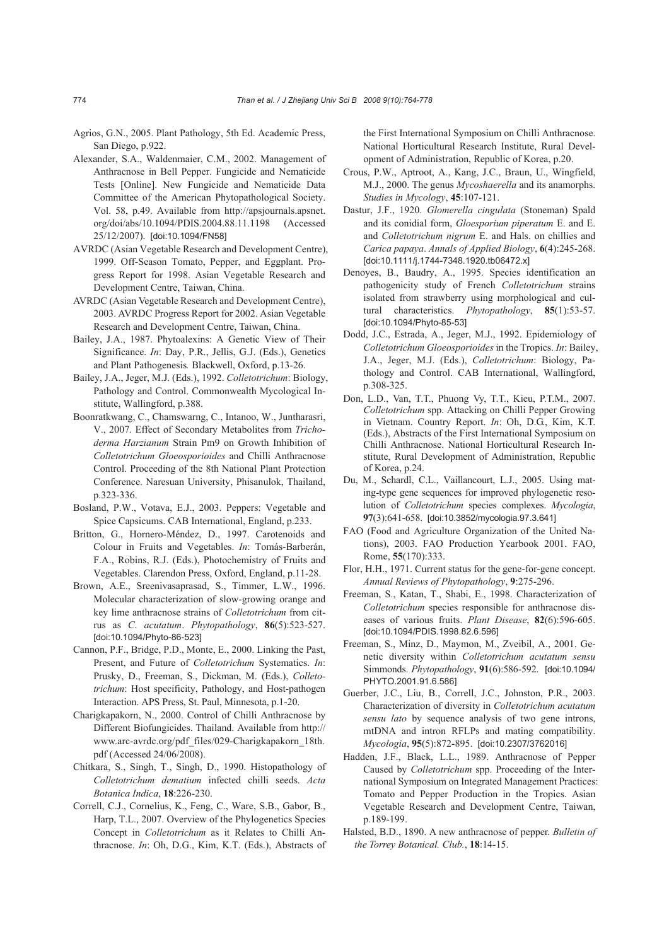- Agrios, G.N., 2005. Plant Pathology, 5th Ed. Academic Press, San Diego, p.922.
- Alexander, S.A., Waldenmaier, C.M., 2002. Management of Anthracnose in Bell Pepper. Fungicide and Nematicide Tests [Online]. New Fungicide and Nematicide Data Committee of the American Phytopathological Society. Vol. 58, p.49. Available from http://apsjournals.apsnet. org/doi/abs/10.1094/PDIS.2004.88.11.1198 (Accessed 25/12/2007). [doi:10.1094/FN58]
- AVRDC (Asian Vegetable Research and Development Centre), 1999. Off-Season Tomato, Pepper, and Eggplant. Progress Report for 1998. Asian Vegetable Research and Development Centre, Taiwan, China.
- AVRDC (Asian Vegetable Research and Development Centre), 2003. AVRDC Progress Report for 2002. Asian Vegetable Research and Development Centre, Taiwan, China.
- Bailey, J.A., 1987. Phytoalexins: A Genetic View of Their Significance. *In*: Day, P.R., Jellis, G.J. (Eds.), Genetics and Plant Pathogenesis*.* Blackwell, Oxford, p.13-26.
- Bailey, J.A., Jeger, M.J. (Eds.), 1992. *Colletotrichum*: Biology, Pathology and Control. Commonwealth Mycological Institute, Wallingford, p.388.
- Boonratkwang, C., Chamswarng, C., Intanoo, W., Juntharasri, V., 2007. Effect of Secondary Metabolites from *Trichoderma Harzianum* Strain Pm9 on Growth Inhibition of *Colletotrichum Gloeosporioides* and Chilli Anthracnose Control. Proceeding of the 8th National Plant Protection Conference. Naresuan University, Phisanulok, Thailand, p.323-336.
- Bosland, P.W., Votava, E.J., 2003. Peppers: Vegetable and Spice Capsicums. CAB International, England, p.233.
- Britton, G., Hornero-Méndez, D., 1997. Carotenoids and Colour in Fruits and Vegetables. *In*: Tomás-Barberán, F.A., Robins, R.J. (Eds.), Photochemistry of Fruits and Vegetables. Clarendon Press, Oxford, England, p.11-28.
- Brown, A.E., Sreenivasaprasad, S., Timmer, L.W., 1996. Molecular characterization of slow-growing orange and key lime anthracnose strains of *Colletotrichum* from citrus as *C*. *acutatum*. *Phytopathology*, **86**(5):523-527. [doi:10.1094/Phyto-86-523]
- Cannon, P.F., Bridge, P.D., Monte, E., 2000. Linking the Past, Present, and Future of *Colletotrichum* Systematics. *In*: Prusky, D., Freeman, S., Dickman, M. (Eds.), *Colletotrichum*: Host specificity, Pathology, and Host-pathogen Interaction. APS Press, St. Paul, Minnesota, p.1-20.
- Charigkapakorn, N., 2000. Control of Chilli Anthracnose by Different Biofungicides. Thailand. Available from http:// www.arc-avrdc.org/pdf\_files/029-Charigkapakorn\_18th. pdf (Accessed 24/06/2008).
- Chitkara, S., Singh, T., Singh, D., 1990. Histopathology of *Colletotrichum dematium* infected chilli seeds. *Acta Botanica Indica*, **18**:226-230.
- Correll, C.J., Cornelius, K., Feng, C., Ware, S.B., Gabor, B., Harp, T.L., 2007. Overview of the Phylogenetics Species Concept in *Colletotrichum* as it Relates to Chilli Anthracnose. *In*: Oh, D.G., Kim, K.T. (Eds.), Abstracts of

the First International Symposium on Chilli Anthracnose. National Horticultural Research Institute, Rural Development of Administration, Republic of Korea, p.20.

- Crous, P.W., Aptroot, A., Kang, J.C., Braun, U., Wingfield, M.J., 2000. The genus *Mycoshaerella* and its anamorphs. *Studies in Mycology*, **45**:107-121.
- Dastur, J.F., 1920. *Glomerella cingulata* (Stoneman) Spald and its conidial form, *Gloesporium piperatum* E. and E. and *Colletotrichum nigrum* E. and Hals. on chillies and *Carica papaya*. *Annals of Applied Biology*, **6**(4):245-268. [doi:10.1111/j.1744-7348.1920.tb06472.x]
- Denoyes, B., Baudry, A., 1995. Species identification an pathogenicity study of French *Colletotrichum* strains isolated from strawberry using morphological and cultural characteristics. *Phytopathology*, **85**(1):53-57. [doi:10.1094/Phyto-85-53]
- Dodd, J.C., Estrada, A., Jeger, M.J., 1992. Epidemiology of *Colletotrichum Gloeosporioides* in the Tropics. *In*: Bailey, J.A., Jeger, M.J. (Eds.), *Colletotrichum*: Biology, Pathology and Control. CAB International, Wallingford, p.308-325.
- Don, L.D., Van, T.T., Phuong Vy, T.T., Kieu, P.T.M., 2007. *Colletotrichum* spp. Attacking on Chilli Pepper Growing in Vietnam. Country Report. *In*: Oh, D.G., Kim, K.T. (Eds.), Abstracts of the First International Symposium on Chilli Anthracnose. National Horticultural Research Institute, Rural Development of Administration, Republic of Korea, p.24.
- Du, M., Schardl, C.L., Vaillancourt, L.J., 2005. Using mating-type gene sequences for improved phylogenetic resolution of *Colletotrichum* species complexes. *Mycologia*, **97**(3):641-658. [doi:10.3852/mycologia.97.3.641]
- FAO (Food and Agriculture Organization of the United Nations), 2003. FAO Production Yearbook 2001. FAO, Rome, **55**(170):333.
- Flor, H.H., 1971. Current status for the gene-for-gene concept. *Annual Reviews of Phytopathology*, **9**:275-296.
- Freeman, S., Katan, T., Shabi, E., 1998. Characterization of *Colletotrichum* species responsible for anthracnose diseases of various fruits. *Plant Disease*, **82**(6):596-605. [doi:10.1094/PDIS.1998.82.6.596]
- Freeman, S., Minz, D., Maymon, M., Zveibil, A., 2001. Genetic diversity within *Colletotrichum acutatum sensu* Simmonds. *Phytopathology*, **91**(6):586-592. [doi:10.1094/ PHYTO.2001.91.6.586]
- Guerber, J.C., Liu, B., Correll, J.C., Johnston, P.R., 2003. Characterization of diversity in *Colletotrichum acutatum sensu lato* by sequence analysis of two gene introns, mtDNA and intron RFLPs and mating compatibility. *Mycologia*, **95**(5):872-895. [doi:10.2307/3762016]
- Hadden, J.F., Black, L.L., 1989. Anthracnose of Pepper Caused by *Colletotrichum* spp. Proceeding of the International Symposium on Integrated Management Practices: Tomato and Pepper Production in the Tropics. Asian Vegetable Research and Development Centre, Taiwan, p.189-199.
- Halsted, B.D., 1890. A new anthracnose of pepper. *Bulletin of the Torrey Botanical. Club.*, **18**:14-15.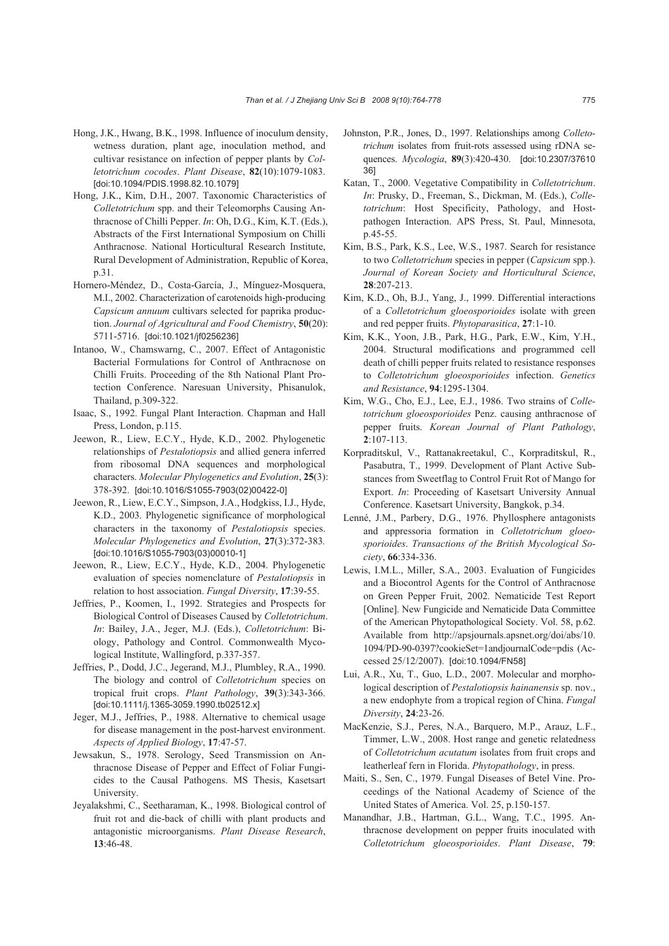- Hong, J.K., Hwang, B.K., 1998. Influence of inoculum density, wetness duration, plant age, inoculation method, and cultivar resistance on infection of pepper plants by *Colletotrichum cocodes*. *Plant Disease*, **82**(10):1079-1083. [doi:10.1094/PDIS.1998.82.10.1079]
- Hong, J.K., Kim, D.H., 2007. Taxonomic Characteristics of *Colletotrichum* spp. and their Teleomorphs Causing Anthracnose of Chilli Pepper. *In*: Oh, D.G., Kim, K.T. (Eds.), Abstracts of the First International Symposium on Chilli Anthracnose. National Horticultural Research Institute, Rural Development of Administration, Republic of Korea, p.31.
- Hornero-Méndez, D., Costa-García, J., Mínguez-Mosquera, M.I., 2002. Characterization of carotenoids high-producing *Capsicum annuum* cultivars selected for paprika production. *Journal of Agricultural and Food Chemistry*, **50**(20): 5711-5716. [doi:10.1021/jf0256236]
- Intanoo, W., Chamswarng, C., 2007. Effect of Antagonistic Bacterial Formulations for Control of Anthracnose on Chilli Fruits. Proceeding of the 8th National Plant Protection Conference. Naresuan University, Phisanulok, Thailand, p.309-322.
- Isaac, S., 1992. Fungal Plant Interaction. Chapman and Hall Press, London, p.115.
- Jeewon, R., Liew, E.C.Y., Hyde, K.D., 2002. Phylogenetic relationships of *Pestalotiopsis* and allied genera inferred from ribosomal DNA sequences and morphological characters. *Molecular Phylogenetics and Evolution*, **25**(3): 378-392. [doi:10.1016/S1055-7903(02)00422-0]
- Jeewon, R., Liew, E.C.Y., Simpson, J.A., Hodgkiss, I.J., Hyde, K.D., 2003. Phylogenetic significance of morphological characters in the taxonomy of *Pestalotiopsis* species. *Molecular Phylogenetics and Evolution*, **27**(3):372-383*.*  [doi:10.1016/S1055-7903(03)00010-1]
- Jeewon, R., Liew, E.C.Y., Hyde, K.D., 2004. Phylogenetic evaluation of species nomenclature of *Pestalotiopsis* in relation to host association. *Fungal Diversity*, **17**:39-55.
- Jeffries, P., Koomen, I., 1992. Strategies and Prospects for Biological Control of Diseases Caused by *Colletotrichum*. *In*: Bailey, J.A., Jeger, M.J. (Eds.), *Colletotrichum*: Biology, Pathology and Control. Commonwealth Mycological Institute, Wallingford, p.337-357.
- Jeffries, P., Dodd, J.C., Jegerand, M.J., Plumbley, R.A., 1990. The biology and control of *Colletotrichum* species on tropical fruit crops. *Plant Pathology*, **39**(3):343-366. [doi:10.1111/j.1365-3059.1990.tb02512.x]
- Jeger, M.J., Jeffries, P., 1988. Alternative to chemical usage for disease management in the post-harvest environment. *Aspects of Applied Biology*, **17**:47-57.
- Jewsakun, S., 1978. Serology, Seed Transmission on Anthracnose Disease of Pepper and Effect of Foliar Fungicides to the Causal Pathogens. MS Thesis, Kasetsart University.
- Jeyalakshmi, C., Seetharaman, K., 1998. Biological control of fruit rot and die-back of chilli with plant products and antagonistic microorganisms. *Plant Disease Research*, **13**:46-48.
- Johnston, P.R., Jones, D., 1997. Relationships among *Colletotrichum* isolates from fruit-rots assessed using rDNA sequences. *Mycologia*, **89**(3):420-430. [doi:10.2307/37610 36]
- Katan, T., 2000. Vegetative Compatibility in *Colletotrichum*. *In*: Prusky, D., Freeman, S., Dickman, M. (Eds.), *Colletotrichum*: Host Specificity, Pathology, and Hostpathogen Interaction. APS Press, St. Paul, Minnesota, p.45-55.
- Kim, B.S., Park, K.S., Lee, W.S., 1987. Search for resistance to two *Colletotrichum* species in pepper (*Capsicum* spp.). *Journal of Korean Society and Horticultural Science*, **28**:207-213.
- Kim, K.D., Oh, B.J., Yang, J., 1999. Differential interactions of a *Colletotrichum gloeosporioides* isolate with green and red pepper fruits. *Phytoparasitica*, **27**:1-10.
- Kim, K.K., Yoon, J.B., Park, H.G., Park, E.W., Kim, Y.H., 2004. Structural modifications and programmed cell death of chilli pepper fruits related to resistance responses to *Colletotrichum gloeosporioides* infection. *Genetics and Resistance*, **94**:1295-1304.
- Kim, W.G., Cho, E.J., Lee, E.J., 1986. Two strains of *Colletotrichum gloeosporioides* Penz. causing anthracnose of pepper fruits. *Korean Journal of Plant Pathology*, **2**:107-113.
- Korpraditskul, V., Rattanakreetakul, C., Korpraditskul, R., Pasabutra, T., 1999. Development of Plant Active Substances from Sweetflag to Control Fruit Rot of Mango for Export. *In*: Proceeding of Kasetsart University Annual Conference. Kasetsart University, Bangkok, p.34.
- Lenné, J.M., Parbery, D.G., 1976. Phyllosphere antagonists and appressoria formation in *Colletotrichum gloeosporioides*. *Transactions of the British Mycological Society*, **66**:334-336.
- Lewis, I.M.L., Miller, S.A., 2003. Evaluation of Fungicides and a Biocontrol Agents for the Control of Anthracnose on Green Pepper Fruit, 2002. Nematicide Test Report [Online]. New Fungicide and Nematicide Data Committee of the American Phytopathological Society. Vol. 58, p.62. Available from http://apsjournals.apsnet.org/doi/abs/10. 1094/PD-90-0397?cookieSet=1andjournalCode=pdis (Accessed 25/12/2007). [doi:10.1094/FN58]
- Lui, A.R., Xu, T., Guo, L.D., 2007. Molecular and morphological description of *Pestalotiopsis hainanensis* sp. nov., a new endophyte from a tropical region of China. *Fungal Diversity*, **24**:23-26.
- MacKenzie, S.J., Peres, N.A., Barquero, M.P., Arauz, L.F., Timmer, L.W., 2008. Host range and genetic relatedness of *Colletotrichum acutatum* isolates from fruit crops and leatherleaf fern in Florida. *Phytopathology*, in press.
- Maiti, S., Sen, C., 1979. Fungal Diseases of Betel Vine. Proceedings of the National Academy of Science of the United States of America. Vol. 25, p.150-157.
- Manandhar, J.B., Hartman, G.L., Wang, T.C., 1995. Anthracnose development on pepper fruits inoculated with *Colletotrichum gloeosporioides*. *Plant Disease*, **79**: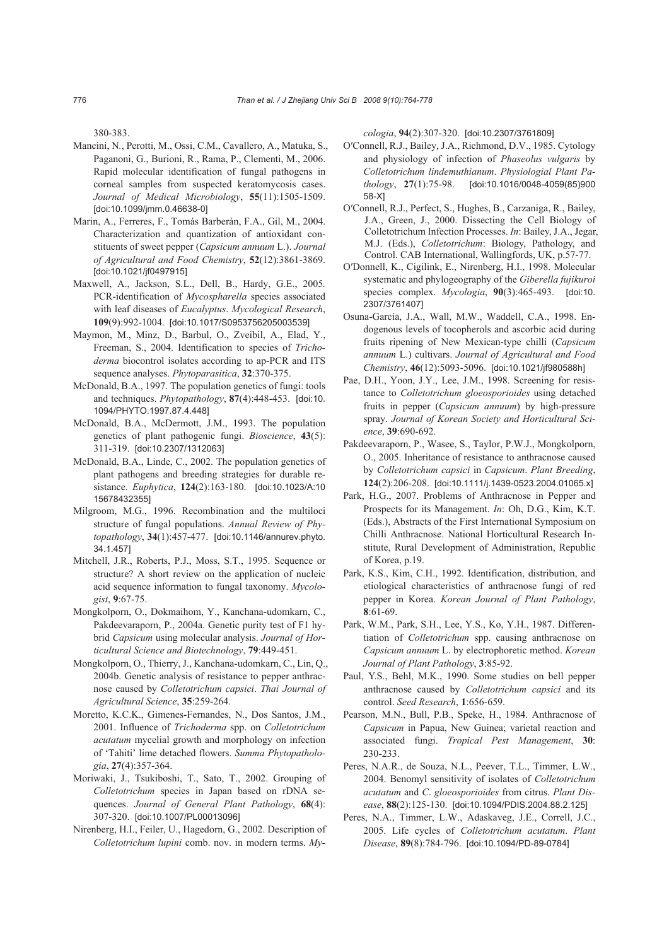380-383.

- Mancini, N*.*, Perotti, M., Ossi, C.M., Cavallero, A., Matuka, S., Paganoni, G., Burioni, R., Rama, P., Clementi, M., 2006. Rapid molecular identification of fungal pathogens in corneal samples from suspected keratomycosis cases. *Journal of Medical Microbiology*, **55**(11):1505-1509. [doi:10.1099/jmm.0.46638-0]
- Marin, A., Ferreres, F., Tomás Barberán, F.A., Gil, M., 2004. Characterization and quantization of antioxidant constituents of sweet pepper (*Capsicum annuum* L.). *Journal of Agricultural and Food Chemistry*, **52**(12):3861-3869. [doi:10.1021/jf0497915]
- Maxwell, A., Jackson, S*.*L., Dell, B., Hardy, G.E., 2005*.*  PCR-identification of *Mycospharella* species associated with leaf diseases of *Eucalyptus*. *Mycological Research*, **109**(9):992-1004. [doi:10.1017/S0953756205003539]
- Maymon, M., Minz, D., Barbul, O., Zveibil, A., Elad, Y., Freeman, S., 2004. Identification to species of *Trichoderma* biocontrol isolates according to ap-PCR and ITS sequence analyses. *Phytoparasitica*, **32**:370-375.
- McDonald, B.A., 1997. The population genetics of fungi: tools and techniques. *Phytopathology*, **87**(4):448-453. [doi:10. 1094/PHYTO.1997.87.4.448]
- McDonald, B.A., McDermott, J.M., 1993. The population genetics of plant pathogenic fungi. *Bioscience*, **43**(5): 311-319. [doi:10.2307/1312063]
- McDonald, B.A., Linde, C., 2002. The population genetics of plant pathogens and breeding strategies for durable resistance. *Euphytica*, **124**(2):163-180. [doi:10.1023/A:10 15678432355]
- Milgroom, M.G., 1996. Recombination and the multiloci structure of fungal populations. *Annual Review of Phytopathology*, **34**(1):457-477. [doi:10.1146/annurev.phyto. 34.1.457]
- Mitchell, J.R., Roberts, P.J., Moss, S.T., 1995. Sequence or structure? A short review on the application of nucleic acid sequence information to fungal taxonomy. *Mycologist*, **9**:67-75.
- Mongkolporn, O., Dokmaihom, Y., Kanchana-udomkarn, C., Pakdeevaraporn, P., 2004a. Genetic purity test of F1 hybrid *Capsicum* using molecular analysis. *Journal of Horticultural Science and Biotechnology*, **79**:449-451.
- Mongkolporn, O., Thierry, J., Kanchana-udomkarn, C., Lin, Q., 2004b. Genetic analysis of resistance to pepper anthracnose caused by *Colletotrichum capsici*. *Thai Journal of Agricultural Science*, **35**:259-264.
- Moretto, K.C.K., Gimenes-Fernandes, N., Dos Santos, J.M., 2001. Influence of *Trichoderma* spp. on *Colletotrichum acutatum* mycelial growth and morphology on infection of 'Tahiti' lime detached flowers. *Summa Phytopathologia*, **27**(4):357-364.
- Moriwaki, J., Tsukiboshi, T., Sato, T., 2002. Grouping of *Colletotrichum* species in Japan based on rDNA sequences. *Journal of General Plant Pathology*, **68**(4): 307-320. [doi:10.1007/PL00013096]
- Nirenberg, H.I., Feiler, U., Hagedorn, G., 2002. Description of *Colletotrichum lupini* comb. nov. in modern terms. *My-*

*cologia*, **94**(2):307-320. [doi:10.2307/3761809]

- O′Connell, R.J., Bailey, J.A., Richmond, D.V., 1985. Cytology and physiology of infection of *Phaseolus vulgaris* by *Colletotrichum lindemuthianum*. *Physiologial Plant Pathology*, **27**(1):75-98. [doi:10.1016/0048-4059(85)900 58-X]
- O′Connell, R.J., Perfect, S., Hughes, B., Carzaniga, R., Bailey, J.A., Green, J., 2000. Dissecting the Cell Biology of Colletotrichum Infection Processes. *In*: Bailey, J.A., Jegar, M.J. (Eds.), *Colletotrichum*: Biology, Pathology, and Control. CAB International, Wallingfords, UK, p.57-77.
- O′Donnell, K., Cigilink, E., Nirenberg, H.I., 1998. Molecular systematic and phylogeography of the *Giberella fujikuroi* species complex. *Mycologia*, **90**(3):465-493. [doi:10. 2307/3761407]
- Osuna-García, J.A., Wall, M.W., Waddell, C.A., 1998. Endogenous levels of tocopherols and ascorbic acid during fruits ripening of New Mexican-type chilli (*Capsicum annuum* L.) cultivars. *Journal of Agricultural and Food Chemistry*, **46**(12):5093-5096. [doi:10.1021/jf980588h]
- Pae, D.H., Yoon, J.Y., Lee, J.M., 1998. Screening for resistance to *Colletotrichum gloeosporioides* using detached fruits in pepper (*Capsicum annuum*) by high-pressure spray. *Journal of Korean Society and Horticultural Science*, **39**:690-692.
- Pakdeevaraporn, P., Wasee, S., Taylor, P.W.J., Mongkolporn, O., 2005. Inheritance of resistance to anthracnose caused by *Colletotrichum capsici* in *Capsicum*. *Plant Breeding*, **124**(2):206-208. [doi:10.1111/j.1439-0523.2004.01065.x]
- Park, H.G., 2007. Problems of Anthracnose in Pepper and Prospects for its Management. *In*: Oh, D.G., Kim, K.T. (Eds.), Abstracts of the First International Symposium on Chilli Anthracnose. National Horticultural Research Institute, Rural Development of Administration, Republic of Korea, p.19.
- Park, K.S., Kim, C.H., 1992. Identification, distribution, and etiological characteristics of anthracnose fungi of red pepper in Korea. *Korean Journal of Plant Pathology*, **8**:61-69.
- Park, W.M., Park, S.H., Lee, Y.S., Ko, Y.H., 1987. Differentiation of *Colletotrichum* spp. causing anthracnose on *Capsicum annuum* L. by electrophoretic method. *Korean Journal of Plant Pathology*, **3**:85-92.
- Paul, Y.S., Behl, M.K., 1990. Some studies on bell pepper anthracnose caused by *Colletotrichum capsici* and its control. *Seed Research*, **1**:656-659.
- Pearson, M.N., Bull, P.B., Speke, H., 1984. Anthracnose of *Capsicum* in Papua, New Guinea; varietal reaction and associated fungi. *Tropical Pest Management*, **30**: 230-233.
- Peres, N.A.R., de Souza, N.L., Peever, T.L., Timmer, L.W., 2004. Benomyl sensitivity of isolates of *Colletotrichum acutatum* and *C*. *gloeosporioides* from citrus. *Plant Disease*, **88**(2):125-130. [doi:10.1094/PDIS.2004.88.2.125]
- Peres, N.A., Timmer, L.W., Adaskaveg, J.E., Correll, J.C., 2005. Life cycles of *Colletotrichum acutatum*. *Plant Disease*, **89**(8):784-796. [doi:10.1094/PD-89-0784]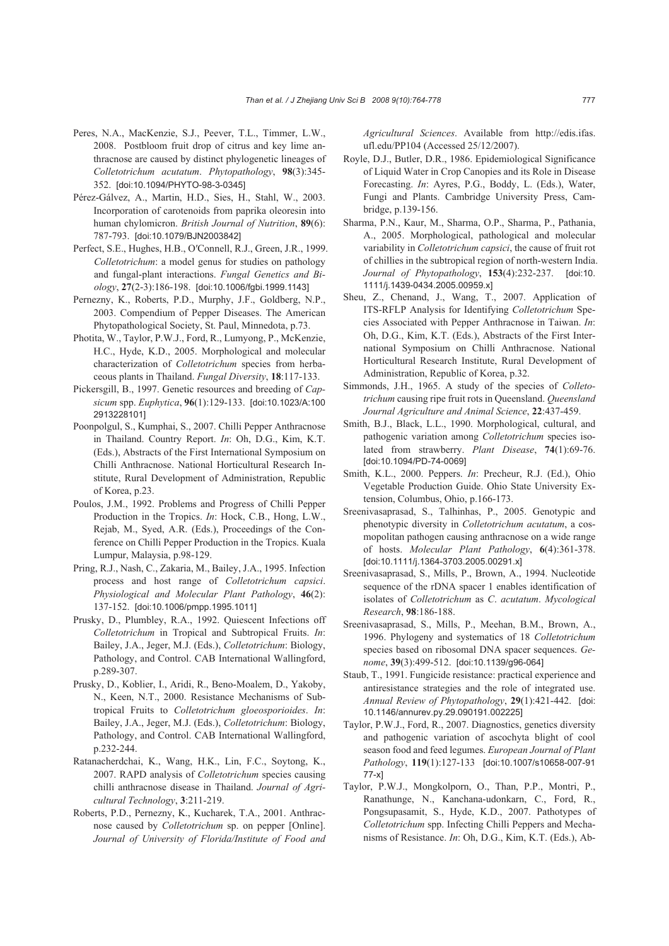- Peres, N.A., MacKenzie, S.J., Peever, T.L., Timmer, L.W., 2008. Postbloom fruit drop of citrus and key lime anthracnose are caused by distinct phylogenetic lineages of *Colletotrichum acutatum*. *Phytopathology*, **98**(3):345- 352. [doi:10.1094/PHYTO-98-3-0345]
- Pérez-Gálvez, A., Martin, H.D., Sies, H., Stahl, W., 2003. Incorporation of carotenoids from paprika oleoresin into human chylomicron. *British Journal of Nutrition*, **89**(6): 787-793. [doi:10.1079/BJN2003842]
- Perfect, S.E., Hughes, H.B., O′Connell, R.J., Green, J.R., 1999. *Colletotrichum*: a model genus for studies on pathology and fungal-plant interactions. *Fungal Genetics and Biology*, **27**(2-3):186-198. [doi:10.1006/fgbi.1999.1143]
- Pernezny, K., Roberts, P.D., Murphy, J.F., Goldberg, N.P., 2003. Compendium of Pepper Diseases. The American Phytopathological Society, St. Paul, Minnedota, p.73.
- Photita, W., Taylor, P.W.J., Ford, R., Lumyong, P., McKenzie, H.C., Hyde, K.D., 2005. Morphological and molecular characterization of *Colletotrichum* species from herbaceous plants in Thailand. *Fungal Diversity*, **18**:117-133.
- Pickersgill, B., 1997. Genetic resources and breeding of *Capsicum* spp. *Euphytica*, **96**(1):129-133. [doi:10.1023/A:100 2913228101]
- Poonpolgul, S., Kumphai, S., 2007. Chilli Pepper Anthracnose in Thailand. Country Report. *In*: Oh, D.G., Kim, K.T. (Eds.), Abstracts of the First International Symposium on Chilli Anthracnose. National Horticultural Research Institute, Rural Development of Administration, Republic of Korea, p.23.
- Poulos, J.M., 1992. Problems and Progress of Chilli Pepper Production in the Tropics. *In*: Hock, C.B., Hong, L.W., Rejab, M., Syed, A.R. (Eds.), Proceedings of the Conference on Chilli Pepper Production in the Tropics. Kuala Lumpur, Malaysia, p.98-129.
- Pring, R.J., Nash, C., Zakaria, M., Bailey, J.A., 1995. Infection process and host range of *Colletotrichum capsici*. *Physiological and Molecular Plant Pathology*, **46**(2): 137-152. [doi:10.1006/pmpp.1995.1011]
- Prusky, D., Plumbley, R.A., 1992. Quiescent Infections off *Colletotrichum* in Tropical and Subtropical Fruits. *In*: Bailey, J.A., Jeger, M.J. (Eds.), *Colletotrichum*: Biology, Pathology, and Control. CAB International Wallingford, p.289-307.
- Prusky, D., Koblier, I., Aridi, R., Beno-Moalem, D., Yakoby, N., Keen, N.T., 2000. Resistance Mechanisms of Subtropical Fruits to *Colletotrichum gloeosporioides*. *In*: Bailey, J.A., Jeger, M.J. (Eds.), *Colletotrichum*: Biology, Pathology, and Control. CAB International Wallingford, p.232-244.
- Ratanacherdchai, K., Wang, H.K., Lin, F.C., Soytong, K., 2007. RAPD analysis of *Colletotrichum* species causing chilli anthracnose disease in Thailand. *Journal of Agricultural Technology*, **3**:211-219.
- Roberts, P.D., Pernezny, K., Kucharek, T.A., 2001. Anthracnose caused by *Colletotrichum* sp. on pepper [Online]. *Journal of University of Florida/Institute of Food and*

*Agricultural Sciences*. Available from http://edis.ifas. ufl.edu/PP104 (Accessed 25/12/2007).

- Royle, D.J., Butler, D.R., 1986. Epidemiological Significance of Liquid Water in Crop Canopies and its Role in Disease Forecasting. *In*: Ayres, P.G., Boddy, L. (Eds.), Water, Fungi and Plants. Cambridge University Press, Cambridge, p.139-156.
- Sharma, P.N., Kaur, M., Sharma, O.P., Sharma, P., Pathania, A., 2005. Morphological, pathological and molecular variability in *Colletotrichum capsici*, the cause of fruit rot of chillies in the subtropical region of north-western India. *Journal of Phytopathology*, **153**(4):232-237. [doi:10. 1111/j.1439-0434.2005.00959.x]
- Sheu, Z., Chenand, J., Wang, T., 2007. Application of ITS-RFLP Analysis for Identifying *Colletotrichum* Species Associated with Pepper Anthracnose in Taiwan. *In*: Oh, D.G., Kim, K.T. (Eds.), Abstracts of the First International Symposium on Chilli Anthracnose. National Horticultural Research Institute, Rural Development of Administration, Republic of Korea, p.32.
- Simmonds, J.H., 1965. A study of the species of *Colletotrichum* causing ripe fruit rots in Queensland. *Queensland Journal Agriculture and Animal Science*, **22**:437-459.
- Smith, B.J., Black, L.L., 1990. Morphological, cultural, and pathogenic variation among *Colletotrichum* species isolated from strawberry. *Plant Disease*, **74**(1):69-76. [doi:10.1094/PD-74-0069]
- Smith, K.L., 2000. Peppers. *In*: Precheur, R.J. (Ed.), Ohio Vegetable Production Guide. Ohio State University Extension, Columbus, Ohio, p.166-173.
- Sreenivasaprasad, S., Talhinhas, P., 2005. Genotypic and phenotypic diversity in *Colletotrichum acutatum*, a cosmopolitan pathogen causing anthracnose on a wide range of hosts. *Molecular Plant Pathology*, **6**(4):361-378. [doi:10.1111/j.1364-3703.2005.00291.x]
- Sreenivasaprasad, S., Mills, P., Brown, A., 1994. Nucleotide sequence of the rDNA spacer 1 enables identification of isolates of *Colletotrichum* as *C*. *acutatum*. *Mycological Research*, **98**:186-188.
- Sreenivasaprasad, S., Mills, P., Meehan, B.M., Brown, A., 1996. Phylogeny and systematics of 18 *Colletotrichum*  species based on ribosomal DNA spacer sequences. *Genome*, **39**(3):499-512. [doi:10.1139/g96-064]
- Staub, T., 1991. Fungicide resistance: practical experience and antiresistance strategies and the role of integrated use. *Annual Review of Phytopathology*, **29**(1):421-442. [doi: 10.1146/annurev.py.29.090191.002225]
- Taylor, P.W.J., Ford, R., 2007. Diagnostics, genetics diversity and pathogenic variation of ascochyta blight of cool season food and feed legumes. *European Journal of Plant Pathology*, **119**(1):127-133 [doi:10.1007/s10658-007-91 77-x]
- Taylor, P.W.J., Mongkolporn, O., Than, P.P., Montri, P., Ranathunge, N., Kanchana-udonkarn, C., Ford, R., Pongsupasamit, S., Hyde, K.D., 2007. Pathotypes of *Colletotrichum* spp. Infecting Chilli Peppers and Mechanisms of Resistance. *In*: Oh, D.G., Kim, K.T. (Eds.), Ab-